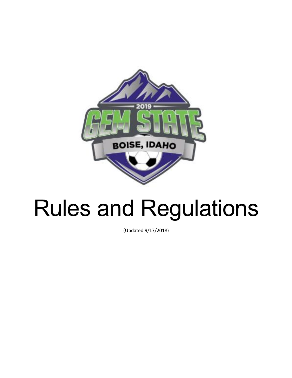

# Rules and Regulations

(Updated 9/17/2018)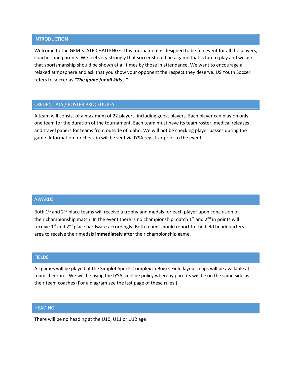#### INTRODUCTION

Welcome to the GEM STATE CHALLENGE. This tournament is designed to be fun event for all the players, coaches and parents. We feel very strongly that soccer should be a game that is fun to play and we ask that sportsmanship should be shown at all times by those in attendance. We want to encourage a relaxed atmosphere and ask that you show your opponent the respect they deserve. US Youth Soccer refers to soccer as *"The game for all kids…"*

# CREDENTIALS / ROSTER PROCEDURES

A team will consist of a maximum of 22 players, including guest players. Each player can play on only one team for the duration of the tournament. Each team must have its team roster, medical releases and travel papers for teams from outside of Idaho. We will not be checking player passes during the game. Information for check in will be sent via IYSA registrar prior to the event.

#### AWARDS

Both  $1<sup>st</sup>$  and  $2<sup>nd</sup>$  place teams will receive a trophy and medals for each player upon conclusion of their championship match. In the event there is no championship match  $1<sup>st</sup>$  and  $2<sup>nd</sup>$  in points will receive  $1<sup>st</sup>$  and  $2<sup>nd</sup>$  place hardware accordingly. Both teams should report to the field headquarters area to receive their medals **immediately** after their championship game.

# **FIELDS**

All games will be played at the Simplot Sports Complex in Boise. Field layout maps will be available at team check in. We will be using the IYSA sideline policy whereby parents will be on the same side as their team coaches (For a diagram see the last page of these rules.)

#### **HEADING**

There will be no heading at the U10, U11 or U12 age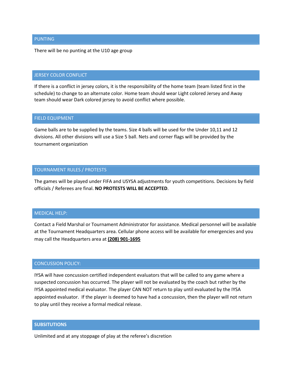### PUNTING

There will be no punting at the U10 age group

# JERSEY COLOR CONFLICT

If there is a conflict in jersey colors, it is the responsibility of the home team (team listed first in the schedule) to change to an alternate color. Home team should wear Light colored Jersey and Away team should wear Dark colored jersey to avoid conflict where possible.

## FIELD EQUIPMENT

Game balls are to be supplied by the teams. Size 4 balls will be used for the Under 10,11 and 12 divisions. All other divisions will use a Size 5 ball. Nets and corner flags will be provided by the tournament organization

#### TOURNAMENT RULES / PROTESTS

The games will be played under FIFA and USYSA adjustments for youth competitions. Decisions by field officials / Referees are final. **NO PROTESTS WILL BE ACCEPTED**.

#### MEDICAL HELP:

Contact a Field Marshal or Tournament Administrator for assistance. Medical personnel will be available at the Tournament Headquarters area. Cellular phone access will be available for emergencies and you may call the Headquarters area at **(208) 901-1695**

#### CONCUSSION POLICY:

IYSA will have concussion certified independent evaluators that will be called to any game where a suspected concussion has occurred. The player will not be evaluated by the coach but rather by the IYSA appointed medical evaluator. The player CAN NOT return to play until evaluated by the IYSA appointed evaluator. If the player is deemed to have had a concussion, then the player will not return to play until they receive a formal medical release.

# **SUBSITUTIONS**

Unlimited and at any stoppage of play at the referee's discretion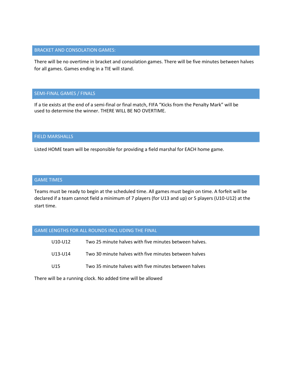## BRACKET AND CONSOLATION GAMES:

There will be no overtime in bracket and consolation games. There will be five minutes between halves for all games. Games ending in a TIE will stand.

### SEMI-FINAL GAMES / FINALS

If a tie exists at the end of a semi-final or final match, FIFA "Kicks from the Penalty Mark" will be used to determine the winner. THERE WILL BE NO OVERTIME.

#### FIELD MARSHALLS

Listed HOME team will be responsible for providing a field marshal for EACH home game.

# GAME TIMES

Teams must be ready to begin at the scheduled time. All games must begin on time. A forfeit will be declared if a team cannot field a minimum of 7 players (for U13 and up) or 5 players (U10-U12) at the start time.

#### GAME LENGTHS FOR ALL ROUNDS INCL UDING THE FINAL

| U10-U12         | Two 25 minute halves with five minutes between halves. |
|-----------------|--------------------------------------------------------|
| U13-U14         | Two 30 minute halves with five minutes between halves  |
| U <sub>15</sub> | Two 35 minute halves with five minutes between halves  |

There will be a running clock. No added time will be allowed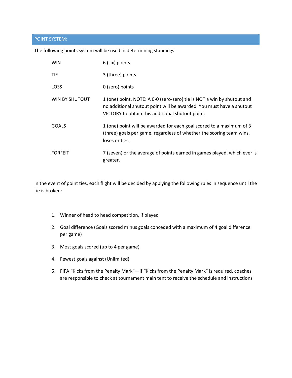# POINT SYSTEM:

The following points system will be used in determining standings.

| <b>WIN</b>     | 6 (six) points                                                                                                                                                                                     |
|----------------|----------------------------------------------------------------------------------------------------------------------------------------------------------------------------------------------------|
| <b>TIE</b>     | 3 (three) points                                                                                                                                                                                   |
| <b>LOSS</b>    | 0 (zero) points                                                                                                                                                                                    |
| WIN BY SHUTOUT | 1 (one) point. NOTE: A 0-0 (zero-zero) tie is NOT a win by shutout and<br>no additional shutout point will be awarded. You must have a shutout<br>VICTORY to obtain this additional shutout point. |
| <b>GOALS</b>   | 1 (one) point will be awarded for each goal scored to a maximum of 3<br>(three) goals per game, regardless of whether the scoring team wins,<br>loses or ties.                                     |
| <b>FORFEIT</b> | 7 (seven) or the average of points earned in games played, which ever is<br>greater.                                                                                                               |

In the event of point ties, each flight will be decided by applying the following rules in sequence until the tie is broken:

- 1. Winner of head to head competition, if played
- 2. Goal difference (Goals scored minus goals conceded with a maximum of 4 goal difference per game)
- 3. Most goals scored (up to 4 per game)
- 4. Fewest goals against (Unlimited)
- 5. FIFA "Kicks from the Penalty Mark"—if "Kicks from the Penalty Mark" is required, coaches are responsible to check at tournament main tent to receive the schedule and instructions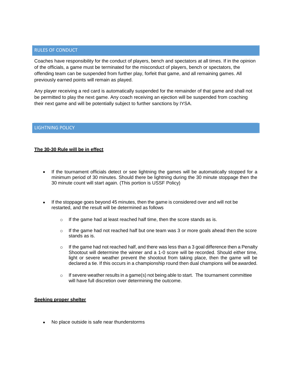# RULES OF CONDUCT

Coaches have responsibility for the conduct of players, bench and spectators at all times. If in the opinion of the officials, a game must be terminated for the misconduct of players, bench or spectators, the offending team can be suspended from further play, forfeit that game, and all remaining games. All previously earned points will remain as played.

Any player receiving a red card is automatically suspended for the remainder of that game and shall not be permitted to play the next game. Any coach receiving an ejection will be suspended from coaching their next game and will be potentially subject to further sanctions by IYSA.

#### LIGHTNING POLICY

# **The 30-30 Rule will be in effect**

- If the tournament officials detect or see lightning the games will be automatically stopped for a minimum period of 30 minutes. Should there be lightning during the 30 minute stoppage then the 30 minute count will start again. (This portion is USSF Policy)
- If the stoppage goes beyond 45 minutes, then the game is considered over and will not be restarted, and the result will be determined as follows
	- $\circ$  If the game had at least reached half time, then the score stands as is.
	- $\circ$  If the game had not reached half but one team was 3 or more goals ahead then the score stands as is.
	- $\circ$  If the game had not reached half, and there was less than a 3 goal difference then a Penalty Shootout will determine the winner and a 1-0 score will be recorded. Should either time, light or severe weather prevent the shootout from taking place, then the game will be declared a tie. If this occurs in a championship round then dual champions will be awarded.
	- If severe weather results in a game(s) not being able to start. The tournament committee will have full discretion over determining the outcome. o

#### **Seeking proper shelter**

• No place outside is safe near thunderstorms